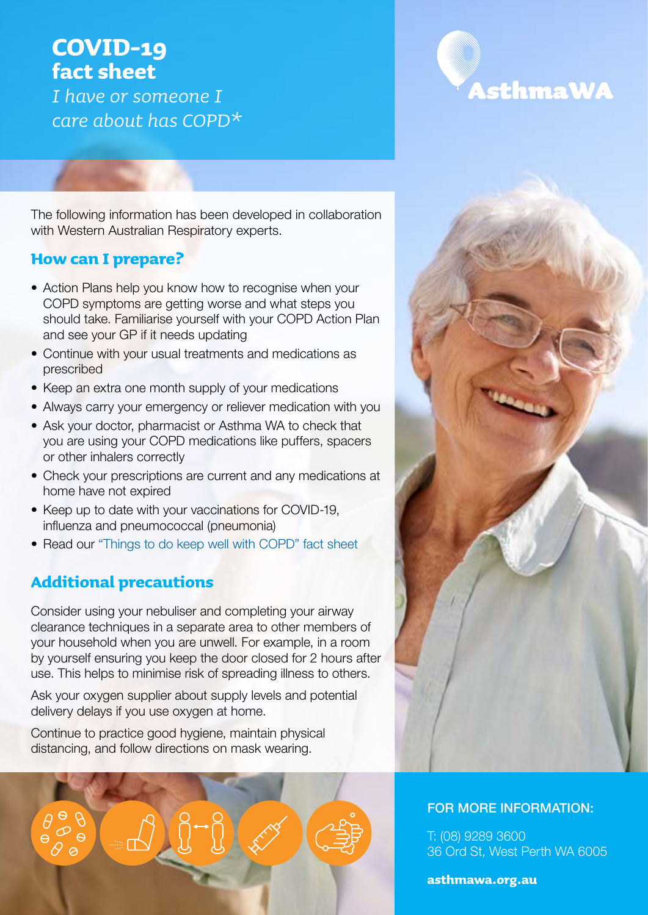# **COVID-19 fact sheet**

*I have or someone I care about has COPD\**

The following information has been developed in collaboration with Western Australian Respiratory experts.

### **How can I prepare?**

- Action Plans help you know how to recognise when your COPD symptoms are getting worse and what steps you should take. Familiarise yourself with your COPD Action Plan and see your GP if it needs updating
- Continue with your usual treatments and medications as prescribed
- Keep an extra one month supply of your medications
- Always carry your emergency or reliever medication with you
- Ask your doctor, pharmacist or Asthma WA to check that you are using your COPD medications like puffers, spacers or other inhalers correctly
- Check your prescriptions are current and any medications at home have not expired
- Keep up to date with your vaccinations for COVID-19. influenza and pneumococcal (pneumonia)
- Read our ["Things to do keep well with COPD" fact sheet](https://asthmawa.org.au/resources/)

# **Additional precautions**

Consider using your nebuliser and completing your airway clearance techniques in a separate area to other members of your household when you are unwell. For example, in a room by yourself ensuring you keep the door closed for 2 hours after use. This helps to minimise risk of spreading illness to others.

Ask your oxygen supplier about supply levels and potential delivery delays if you use oxygen at home.

Continue to practice good hygiene, maintain physical distancing, and follow directions on mask wearing.







#### FOR MORE INFORMATION:

T: (08) 9289 3600 36 Ord St, West Perth WA 6005

**asthmawa.org.au**